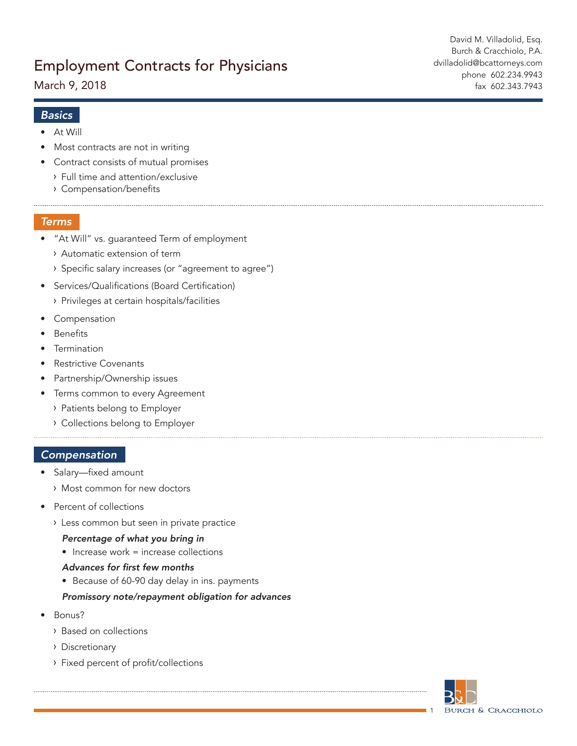March 9, 2018

## *Basics*

- At Will
- Most contracts are not in writing
- Contract consists of mutual promises
	- Full time and attention/exclusive
	- Compensation/benefits

## *Terms*

- "At Will" vs. guaranteed Term of employment
	- Automatic extension of term
	- > Specific salary increases (or "agreement to agree")
- Services/Qualifications (Board Certification)
	- Privileges at certain hospitals/facilities
- Compensation
- **Benefits**
- **Termination**
- Restrictive Covenants
- Partnership/Ownership issues
- Terms common to every Agreement
	- Patients belong to Employer
	- Collections belong to Employer

## *Compensation*

- Salary—fixed amount
	- Most common for new doctors
- Percent of collections
	- Less common but seen in private practice

#### *Percentage of what you bring in*

 $\bullet$  Increase work = increase collections

#### Advances for first few months

• Because of 60-90 day delay in ins. payments

## *Promissory note/repayment obligation for advances*

- Bonus?
	- Based on collections
	- Discretionary
	- Fixed percent of profit/collections



1

David M. Villadolid, Esq. Burch & Cracchiolo, P.A. dvilladolid@bcattorneys.com phone 602.234.9943 fax 602.343.7943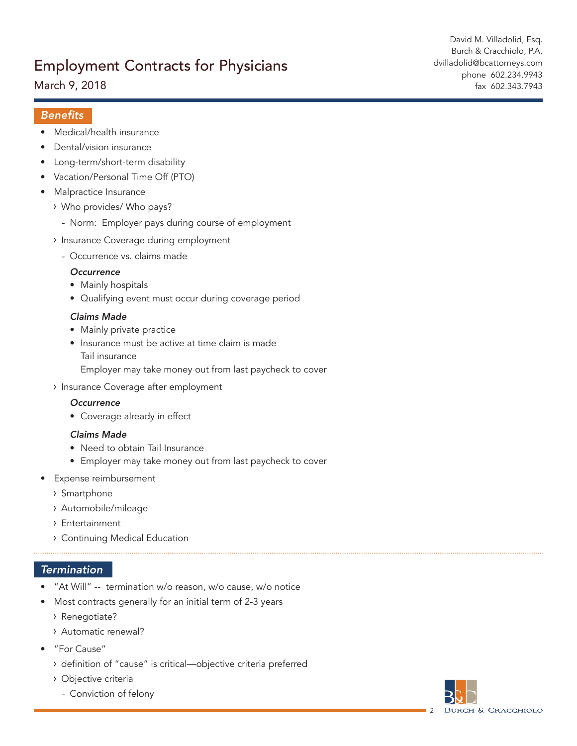March 9, 2018

David M. Villadolid, Esq. Burch & Cracchiolo, P.A. dvilladolid@bcattorneys.com phone 602.234.9943 fax 602.343.7943

# Benefits

- Medical/health insurance
- Dental/vision insurance
- Long-term/short-term disability
- Vacation/Personal Time Off (PTO)
- Malpractice Insurance
	- Who provides/ Who pays?
		- Norm: Employer pays during course of employment
	- > Insurance Coverage during employment
		- Occurrence vs. claims made

#### *Occurrence*

- Mainly hospitals
- Qualifying event must occur during coverage period

#### *Claims Made*

- Mainly private practice
- Insurance must be active at time claim is made Tail insurance Employer may take money out from last paycheck to cover
- > Insurance Coverage after employment

#### *Occurrence*

• Coverage already in effect

#### *Claims Made*

- Need to obtain Tail Insurance
- Employer may take money out from last paycheck to cover
- Expense reimbursement
	- Smartphone
	- Automobile/mileage
	- Entertainment
	- Continuing Medical Education

## *Termination*

- "At Will" -- termination w/o reason, w/o cause, w/o notice
- Most contracts generally for an initial term of 2-3 years
	- Renegotiate?
	- Automatic renewal?
- "For Cause"
	- definition of "cause" is critical—objective criteria preferred
	- Objective criteria
		- Conviction of felony

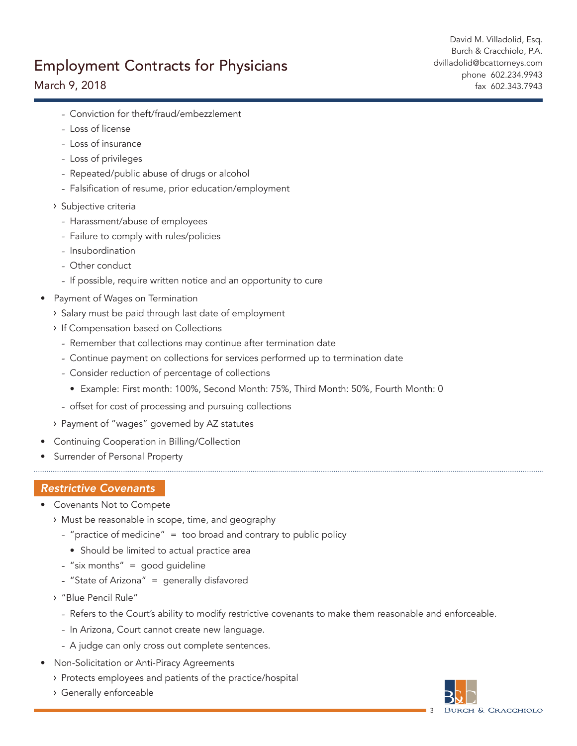# March 9, 2018

David M. Villadolid, Esq. Burch & Cracchiolo, P.A. dvilladolid@bcattorneys.com phone 602.234.9943 fax 602.343.7943

- Conviction for theft/fraud/embezzlement
- Loss of license
- Loss of insurance
- Loss of privileges
- Repeated/public abuse of drugs or alcohol
- Falsification of resume, prior education/employment
- Subjective criteria
	- Harassment/abuse of employees
	- Failure to comply with rules/policies
	- Insubordination
	- Other conduct
	- If possible, require written notice and an opportunity to cure
- Payment of Wages on Termination
	- > Salary must be paid through last date of employment
	- **If Compensation based on Collections** 
		- Remember that collections may continue after termination date
		- Continue payment on collections for services performed up to termination date
		- Consider reduction of percentage of collections
			- Example: First month: 100%, Second Month: 75%, Third Month: 50%, Fourth Month: 0
		- offset for cost of processing and pursuing collections
	- Payment of "wages" governed by AZ statutes
- Continuing Cooperation in Billing/Collection
- Surrender of Personal Property

## *Restrictive Covenants*

- Covenants Not to Compete
	- Must be reasonable in scope, time, and geography
		- "practice of medicine" = too broad and contrary to public policy
			- Should be limited to actual practice area
		- $-$  "six months" = good quideline
		- "State of Arizona" = generally disfavored
	- "Blue Pencil Rule"
		- Refers to the Court's ability to modify restrictive covenants to make them reasonable and enforceable.
		- In Arizona, Court cannot create new language.
		- A judge can only cross out complete sentences.
- Non-Solicitation or Anti-Piracy Agreements
	- Protects employees and patients of the practice/hospital
	- Generally enforceable